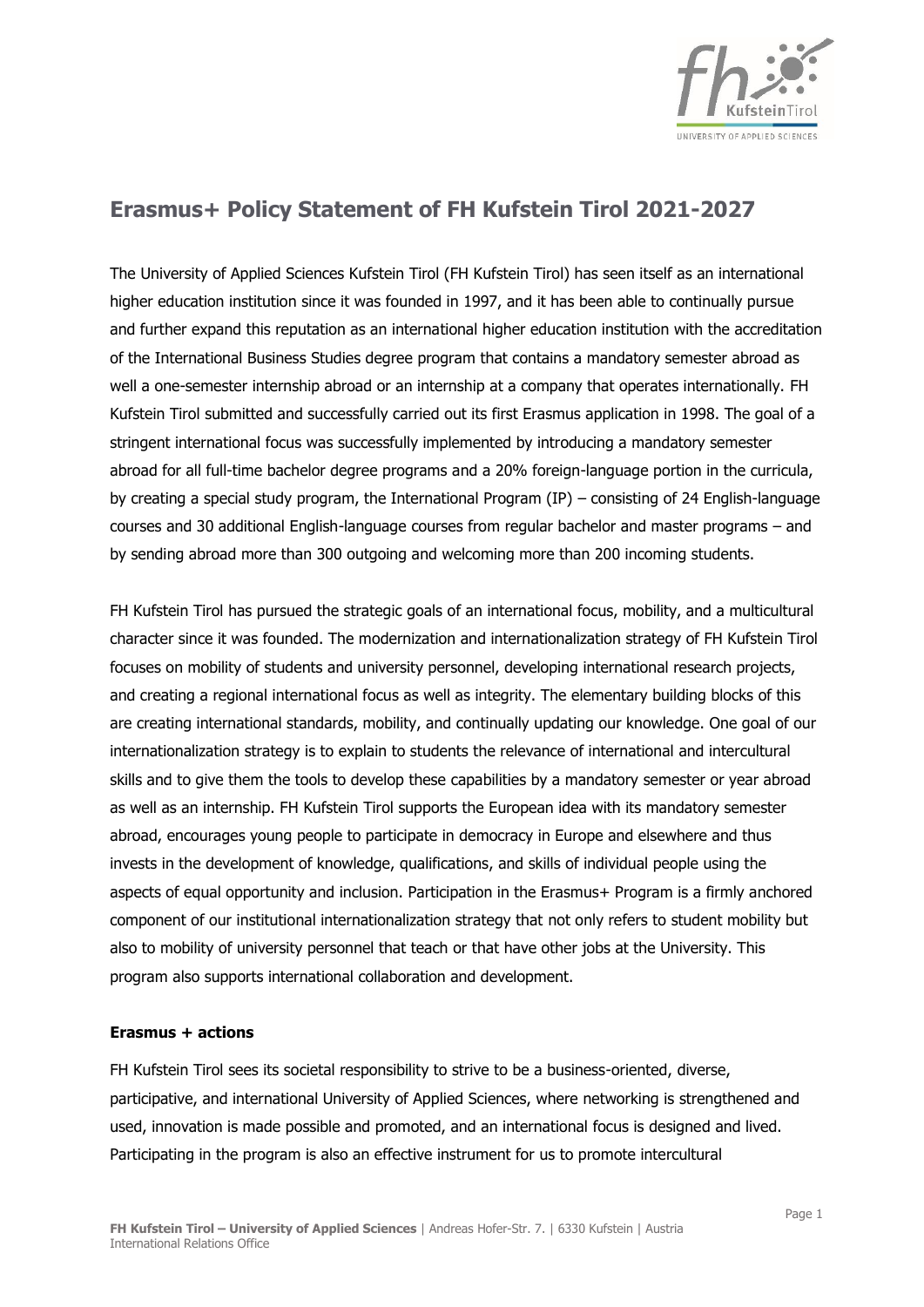

## **Erasmus+ Policy Statement of FH Kufstein Tirol 2021-2027**

The University of Applied Sciences Kufstein Tirol (FH Kufstein Tirol) has seen itself as an international higher education institution since it was founded in 1997, and it has been able to continually pursue and further expand this reputation as an international higher education institution with the accreditation of the International Business Studies degree program that contains a mandatory semester abroad as well a one-semester internship abroad or an internship at a company that operates internationally. FH Kufstein Tirol submitted and successfully carried out its first Erasmus application in 1998. The goal of a stringent international focus was successfully implemented by introducing a mandatory semester abroad for all full-time bachelor degree programs and a 20% foreign-language portion in the curricula, by creating a special study program, the International Program (IP) – consisting of 24 English-language courses and 30 additional English-language courses from regular bachelor and master programs – and by sending abroad more than 300 outgoing and welcoming more than 200 incoming students.

FH Kufstein Tirol has pursued the strategic goals of an international focus, mobility, and a multicultural character since it was founded. The modernization and internationalization strategy of FH Kufstein Tirol focuses on mobility of students and university personnel, developing international research projects, and creating a regional international focus as well as integrity. The elementary building blocks of this are creating international standards, mobility, and continually updating our knowledge. One goal of our internationalization strategy is to explain to students the relevance of international and intercultural skills and to give them the tools to develop these capabilities by a mandatory semester or year abroad as well as an internship. FH Kufstein Tirol supports the European idea with its mandatory semester abroad, encourages young people to participate in democracy in Europe and elsewhere and thus invests in the development of knowledge, qualifications, and skills of individual people using the aspects of equal opportunity and inclusion. Participation in the Erasmus+ Program is a firmly anchored component of our institutional internationalization strategy that not only refers to student mobility but also to mobility of university personnel that teach or that have other jobs at the University. This program also supports international collaboration and development.

## **Erasmus + actions**

FH Kufstein Tirol sees its societal responsibility to strive to be a business-oriented, diverse, participative, and international University of Applied Sciences, where networking is strengthened and used, innovation is made possible and promoted, and an international focus is designed and lived. Participating in the program is also an effective instrument for us to promote intercultural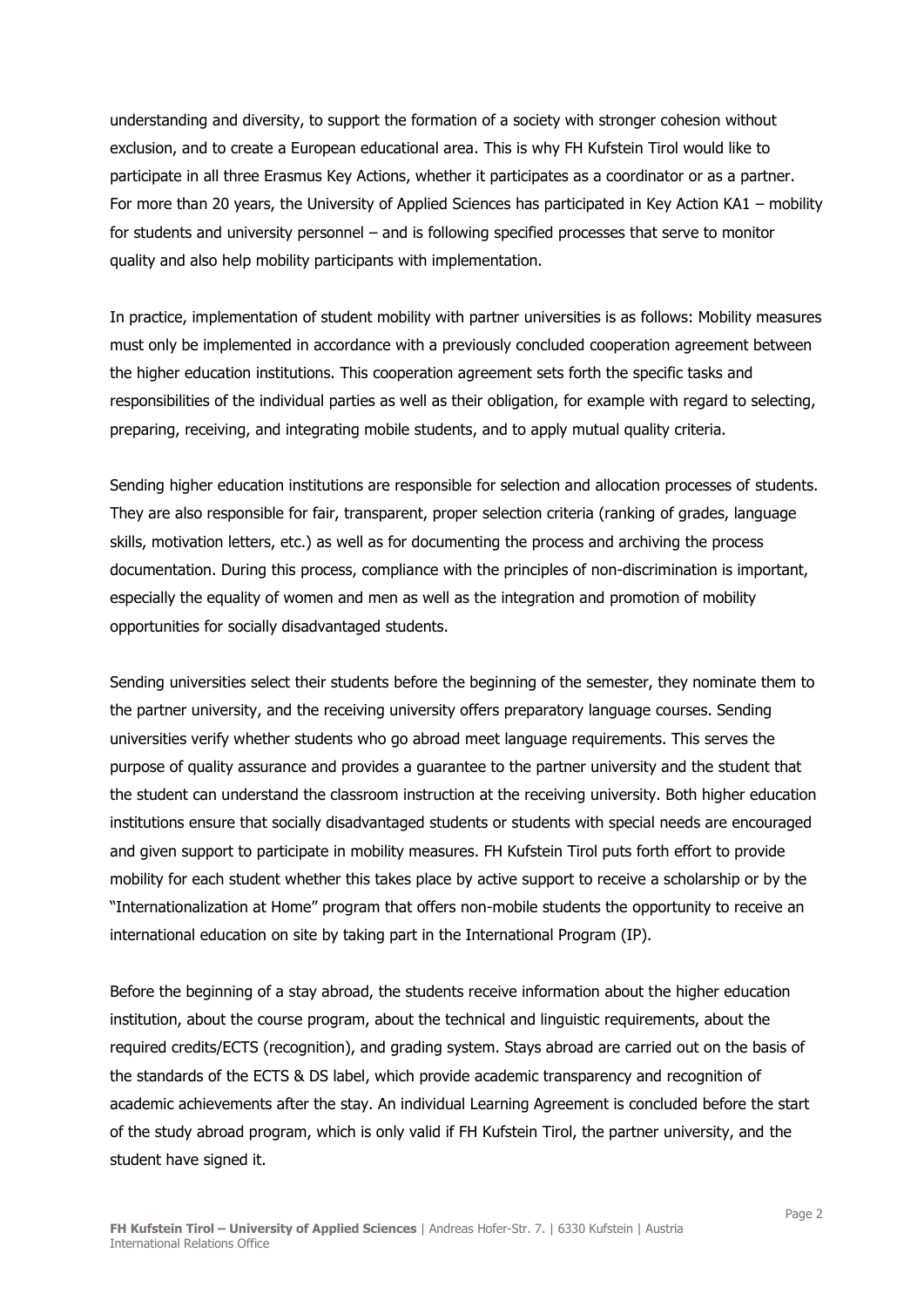understanding and diversity, to support the formation of a society with stronger cohesion without exclusion, and to create a European educational area. This is why FH Kufstein Tirol would like to participate in all three Erasmus Key Actions, whether it participates as a coordinator or as a partner. For more than 20 years, the University of Applied Sciences has participated in Key Action KA1 – mobility for students and university personnel – and is following specified processes that serve to monitor quality and also help mobility participants with implementation.

In practice, implementation of student mobility with partner universities is as follows: Mobility measures must only be implemented in accordance with a previously concluded cooperation agreement between the higher education institutions. This cooperation agreement sets forth the specific tasks and responsibilities of the individual parties as well as their obligation, for example with regard to selecting, preparing, receiving, and integrating mobile students, and to apply mutual quality criteria.

Sending higher education institutions are responsible for selection and allocation processes of students. They are also responsible for fair, transparent, proper selection criteria (ranking of grades, language skills, motivation letters, etc.) as well as for documenting the process and archiving the process documentation. During this process, compliance with the principles of non-discrimination is important, especially the equality of women and men as well as the integration and promotion of mobility opportunities for socially disadvantaged students.

Sending universities select their students before the beginning of the semester, they nominate them to the partner university, and the receiving university offers preparatory language courses. Sending universities verify whether students who go abroad meet language requirements. This serves the purpose of quality assurance and provides a guarantee to the partner university and the student that the student can understand the classroom instruction at the receiving university. Both higher education institutions ensure that socially disadvantaged students or students with special needs are encouraged and given support to participate in mobility measures. FH Kufstein Tirol puts forth effort to provide mobility for each student whether this takes place by active support to receive a scholarship or by the "Internationalization at Home" program that offers non-mobile students the opportunity to receive an international education on site by taking part in the International Program (IP).

Before the beginning of a stay abroad, the students receive information about the higher education institution, about the course program, about the technical and linguistic requirements, about the required credits/ECTS (recognition), and grading system. Stays abroad are carried out on the basis of the standards of the ECTS & DS label, which provide academic transparency and recognition of academic achievements after the stay. An individual Learning Agreement is concluded before the start of the study abroad program, which is only valid if FH Kufstein Tirol, the partner university, and the student have signed it.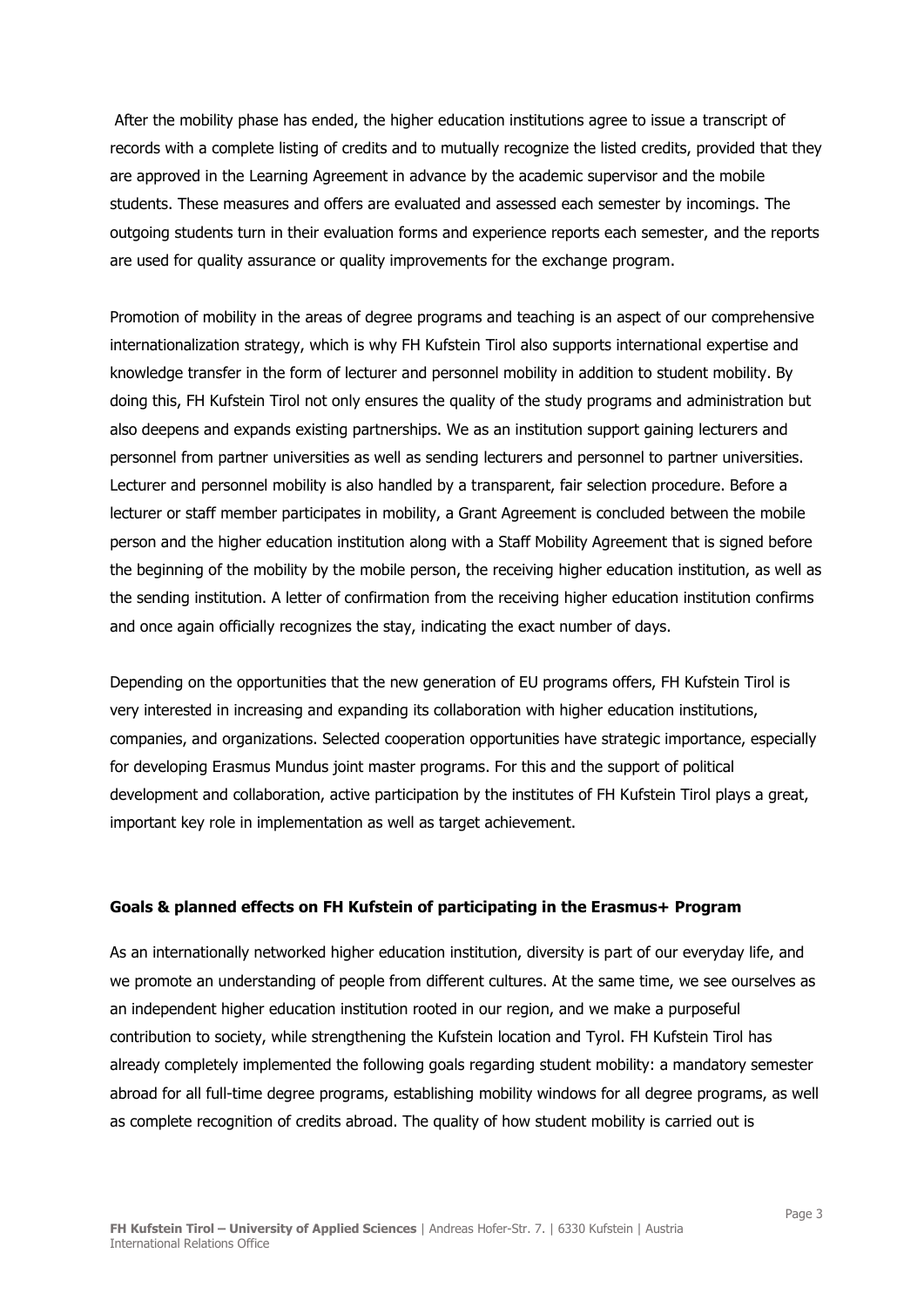After the mobility phase has ended, the higher education institutions agree to issue a transcript of records with a complete listing of credits and to mutually recognize the listed credits, provided that they are approved in the Learning Agreement in advance by the academic supervisor and the mobile students. These measures and offers are evaluated and assessed each semester by incomings. The outgoing students turn in their evaluation forms and experience reports each semester, and the reports are used for quality assurance or quality improvements for the exchange program.

Promotion of mobility in the areas of degree programs and teaching is an aspect of our comprehensive internationalization strategy, which is why FH Kufstein Tirol also supports international expertise and knowledge transfer in the form of lecturer and personnel mobility in addition to student mobility. By doing this, FH Kufstein Tirol not only ensures the quality of the study programs and administration but also deepens and expands existing partnerships. We as an institution support gaining lecturers and personnel from partner universities as well as sending lecturers and personnel to partner universities. Lecturer and personnel mobility is also handled by a transparent, fair selection procedure. Before a lecturer or staff member participates in mobility, a Grant Agreement is concluded between the mobile person and the higher education institution along with a Staff Mobility Agreement that is signed before the beginning of the mobility by the mobile person, the receiving higher education institution, as well as the sending institution. A letter of confirmation from the receiving higher education institution confirms and once again officially recognizes the stay, indicating the exact number of days.

Depending on the opportunities that the new generation of EU programs offers, FH Kufstein Tirol is very interested in increasing and expanding its collaboration with higher education institutions, companies, and organizations. Selected cooperation opportunities have strategic importance, especially for developing Erasmus Mundus joint master programs. For this and the support of political development and collaboration, active participation by the institutes of FH Kufstein Tirol plays a great, important key role in implementation as well as target achievement.

## **Goals & planned effects on FH Kufstein of participating in the Erasmus+ Program**

As an internationally networked higher education institution, diversity is part of our everyday life, and we promote an understanding of people from different cultures. At the same time, we see ourselves as an independent higher education institution rooted in our region, and we make a purposeful contribution to society, while strengthening the Kufstein location and Tyrol. FH Kufstein Tirol has already completely implemented the following goals regarding student mobility: a mandatory semester abroad for all full-time degree programs, establishing mobility windows for all degree programs, as well as complete recognition of credits abroad. The quality of how student mobility is carried out is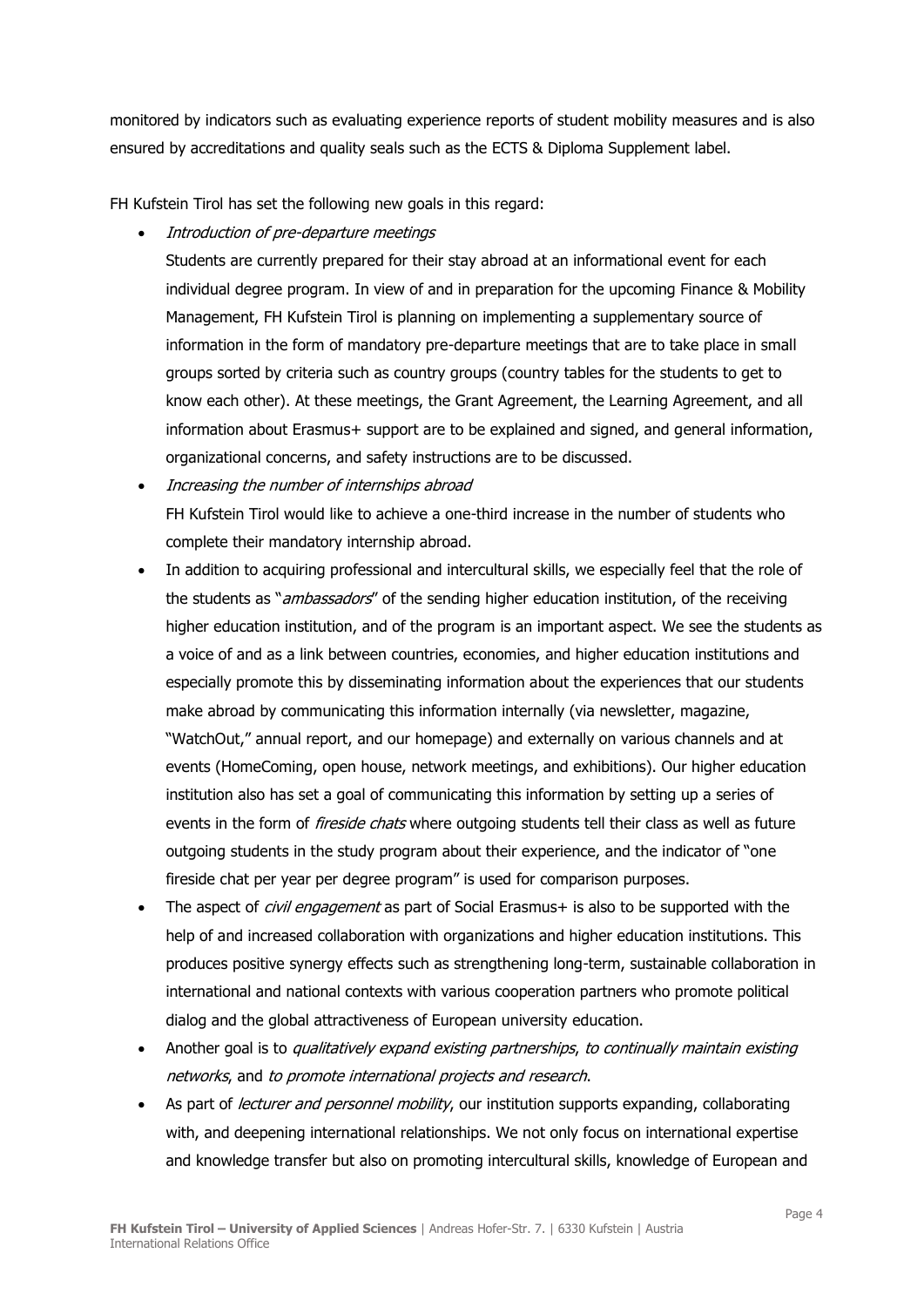monitored by indicators such as evaluating experience reports of student mobility measures and is also ensured by accreditations and quality seals such as the ECTS & Diploma Supplement label.

FH Kufstein Tirol has set the following new goals in this regard:

• Introduction of pre-departure meetings

Students are currently prepared for their stay abroad at an informational event for each individual degree program. In view of and in preparation for the upcoming Finance & Mobility Management, FH Kufstein Tirol is planning on implementing a supplementary source of information in the form of mandatory pre-departure meetings that are to take place in small groups sorted by criteria such as country groups (country tables for the students to get to know each other). At these meetings, the Grant Agreement, the Learning Agreement, and all information about Erasmus+ support are to be explained and signed, and general information, organizational concerns, and safety instructions are to be discussed.

- Increasing the number of internships abroad FH Kufstein Tirol would like to achieve a one-third increase in the number of students who complete their mandatory internship abroad.
- In addition to acquiring professional and intercultural skills, we especially feel that the role of the students as "*ambassadors*" of the sending higher education institution, of the receiving higher education institution, and of the program is an important aspect. We see the students as a voice of and as a link between countries, economies, and higher education institutions and especially promote this by disseminating information about the experiences that our students make abroad by communicating this information internally (via newsletter, magazine, "WatchOut," annual report, and our homepage) and externally on various channels and at events (HomeComing, open house, network meetings, and exhibitions). Our higher education institution also has set a goal of communicating this information by setting up a series of events in the form of *fireside chats* where outgoing students tell their class as well as future outgoing students in the study program about their experience, and the indicator of "one fireside chat per year per degree program" is used for comparison purposes.
- The aspect of *civil engagement* as part of Social Erasmus+ is also to be supported with the help of and increased collaboration with organizations and higher education institutions. This produces positive synergy effects such as strengthening long-term, sustainable collaboration in international and national contexts with various cooperation partners who promote political dialog and the global attractiveness of European university education.
- Another goal is to *qualitatively expand existing partnerships, to continually maintain existing* networks, and to promote international projects and research.
- As part of *lecturer and personnel mobility*, our institution supports expanding, collaborating with, and deepening international relationships. We not only focus on international expertise and knowledge transfer but also on promoting intercultural skills, knowledge of European and